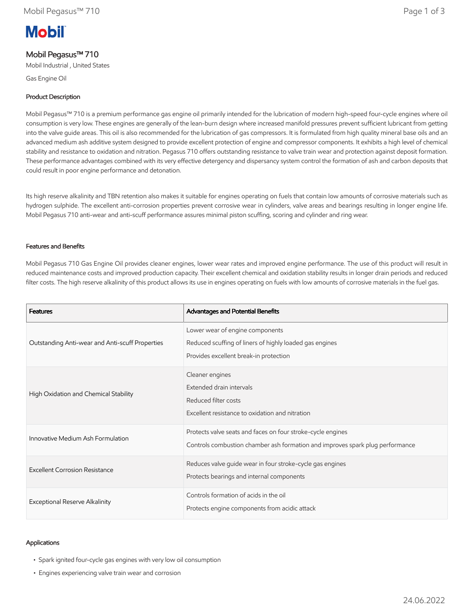# **Mobil**

## Mobil Pegasus™ 710

Mobil Industrial , United States

Gas Engine Oil

## Product Description

Mobil Pegasus™ 710 is a premium performance gas engine oil primarily intended for the lubrication of modern high-speed four-cycle engines where oil consumption is very low. These engines are generally of the lean-burn design where increased manifold pressures prevent sufficient lubricant from getting into the valve guide areas. This oil is also recommended for the lubrication of gas compressors. It is formulated from high quality mineral base oils and an advanced medium ash additive system designed to provide excellent protection of engine and compressor components. It exhibits a high level of chemical stability and resistance to oxidation and nitration. Pegasus 710 offers outstanding resistance to valve train wear and protection against deposit formation. These performance advantages combined with its very effective detergency and dispersancy system control the formation of ash and carbon deposits that could result in poor engine performance and detonation.

Its high reserve alkalinity and TBN retention also makes it suitable for engines operating on fuels that contain low amounts of corrosive materials such as hydrogen sulphide. The excellent anti-corrosion properties prevent corrosive wear in cylinders, valve areas and bearings resulting in longer engine life. Mobil Pegasus 710 anti-wear and anti-scuff performance assures minimal piston scuffing, scoring and cylinder and ring wear.

#### Features and Benefits

Mobil Pegasus 710 Gas Engine Oil provides cleaner engines, lower wear rates and improved engine performance. The use of this product will result in reduced maintenance costs and improved production capacity. Their excellent chemical and oxidation stability results in longer drain periods and reduced filter costs. The high reserve alkalinity of this product allows its use in engines operating on fuels with low amounts of corrosive materials in the fuel gas.

| <b>Features</b>                                 | Advantages and Potential Benefits                                                                                                            |
|-------------------------------------------------|----------------------------------------------------------------------------------------------------------------------------------------------|
| Outstanding Anti-wear and Anti-scuff Properties | Lower wear of engine components<br>Reduced scuffing of liners of highly loaded gas engines<br>Provides excellent break-in protection         |
| High Oxidation and Chemical Stability           | Cleaner engines<br>Extended drain intervals<br>Reduced filter costs<br>Excellent resistance to oxidation and nitration                       |
| Innovative Medium Ash Formulation               | Protects valve seats and faces on four stroke-cycle engines<br>Controls combustion chamber ash formation and improves spark plug performance |
| Excellent Corrosion Resistance                  | Reduces valve guide wear in four stroke-cycle gas engines<br>Protects bearings and internal components                                       |
| Exceptional Reserve Alkalinity                  | Controls formation of acids in the oil<br>Protects engine components from acidic attack                                                      |

## Applications

- Spark ignited four-cycle gas engines with very low oil consumption
- Engines experiencing valve train wear and corrosion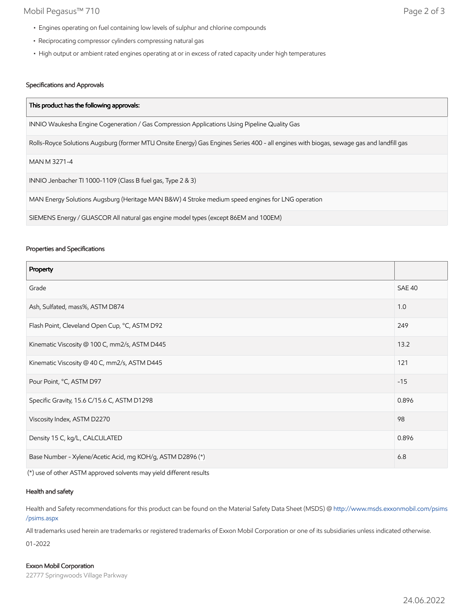## Mobil Pegasus™ 710 Page 2 of 3

- Engines operating on fuel containing low levels of sulphur and chlorine compounds
- Reciprocating compressor cylinders compressing natural gas
- High output or ambient rated engines operating at or in excess of rated capacity under high temperatures

## Specifications and Approvals

| This product has the following approvals:                                                                                               |  |
|-----------------------------------------------------------------------------------------------------------------------------------------|--|
| INNIO Waukesha Engine Cogeneration / Gas Compression Applications Using Pipeline Quality Gas                                            |  |
| Rolls-Royce Solutions Augsburg (former MTU Onsite Energy) Gas Engines Series 400 - all engines with biogas, sewage gas and landfill gas |  |
| MAN M 3271-4                                                                                                                            |  |
| INNIO Jenbacher TI 1000-1109 (Class B fuel gas, Type 2 & 3)                                                                             |  |
| MAN Energy Solutions Augsburg (Heritage MAN B&W) 4 Stroke medium speed engines for LNG operation                                        |  |
| SIEMENS Energy / GUASCOR All natural gas engine model types (except 86EM and 100EM)                                                     |  |

#### Properties and Specifications

| Property                                                   |               |
|------------------------------------------------------------|---------------|
| Grade                                                      | <b>SAE 40</b> |
| Ash, Sulfated, mass%, ASTM D874                            | 1.0           |
| Flash Point, Cleveland Open Cup, °C, ASTM D92              | 249           |
| Kinematic Viscosity @ 100 C, mm2/s, ASTM D445              | 13.2          |
| Kinematic Viscosity @ 40 C, mm2/s, ASTM D445               | 121           |
| Pour Point, °C, ASTM D97                                   | $-15$         |
| Specific Gravity, 15.6 C/15.6 C, ASTM D1298                | 0.896         |
| Viscosity Index, ASTM D2270                                | 98            |
| Density 15 C, kg/L, CALCULATED                             | 0.896         |
| Base Number - Xylene/Acetic Acid, mg KOH/g, ASTM D2896 (*) |               |

(\*) use of other ASTM approved solvents may yield different results

## Health and safety

Health and Safety recommendations for this product can be found on the Material Safety Data Sheet (MSDS) @ [http://www.msds.exxonmobil.com/psims](http://www.msds.exxonmobil.com/psims/psims.aspx) /psims.aspx

All trademarks used herein are trademarks or registered trademarks of Exxon Mobil Corporation or one of its subsidiaries unless indicated otherwise.

01-2022

#### Exxon Mobil Corporation

22777 Springwoods Village Parkway